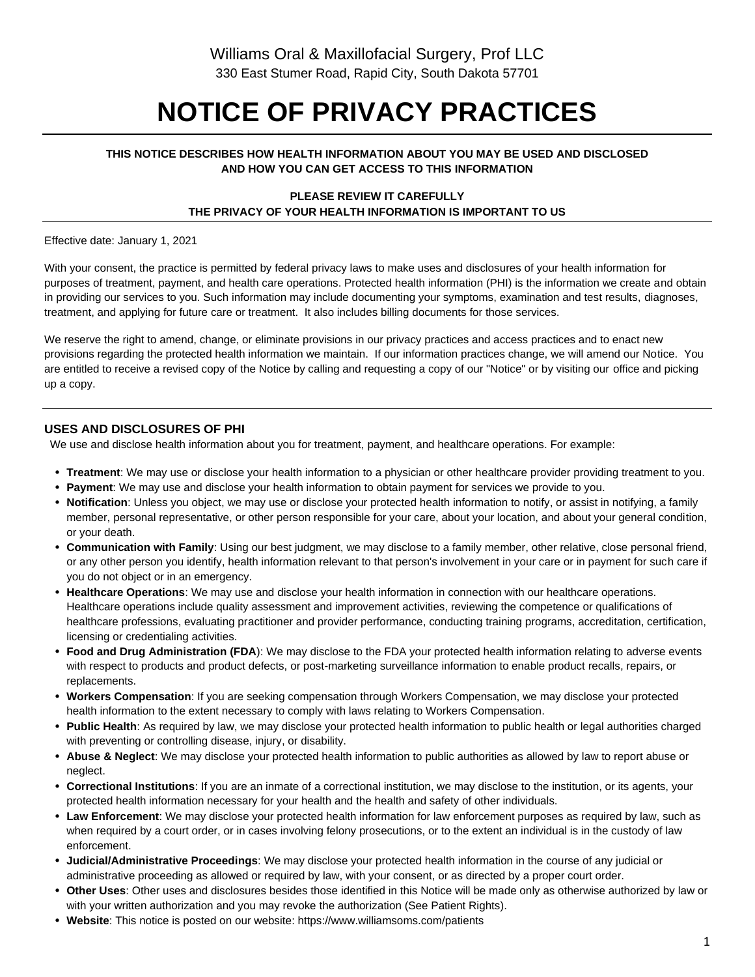# **NOTICE OF PRIVACY PRACTICES**

#### **THIS NOTICE DESCRIBES HOW HEALTH INFORMATION ABOUT YOU MAY BE USED AND DISCLOSED AND HOW YOU CAN GET ACCESS TO THIS INFORMATION**

#### **PLEASE REVIEW IT CAREFULLY THE PRIVACY OF YOUR HEALTH INFORMATION IS IMPORTANT TO US**

Effective date: January 1, 2021

With your consent, the practice is permitted by federal privacy laws to make uses and disclosures of your health information for purposes of treatment, payment, and health care operations. Protected health information (PHI) is the information we create and obtain in providing our services to you. Such information may include documenting your symptoms, examination and test results, diagnoses, treatment, and applying for future care or treatment. It also includes billing documents for those services.

We reserve the right to amend, change, or eliminate provisions in our privacy practices and access practices and to enact new provisions regarding the protected health information we maintain. If our information practices change, we will amend our Notice. You are entitled to receive a revised copy of the Notice by calling and requesting a copy of our "Notice" or by visiting our office and picking up a copy.

### **USES AND DISCLOSURES OF PHI**

We use and disclose health information about you for treatment, payment, and healthcare operations. For example:

- **Treatment**: We may use or disclose your health information to a physician or other healthcare provider providing treatment to you.
- **Payment**: We may use and disclose your health information to obtain payment for services we provide to you.
- **Notification**: Unless you object, we may use or disclose your protected health information to notify, or assist in notifying, a family member, personal representative, or other person responsible for your care, about your location, and about your general condition, or your death.
- **Communication with Family**: Using our best judgment, we may disclose to a family member, other relative, close personal friend, or any other person you identify, health information relevant to that person's involvement in your care or in payment for such care if you do not object or in an emergency.
- **Healthcare Operations**: We may use and disclose your health information in connection with our healthcare operations. Healthcare operations include quality assessment and improvement activities, reviewing the competence or qualifications of healthcare professions, evaluating practitioner and provider performance, conducting training programs, accreditation, certification, licensing or credentialing activities.
- **Food and Drug Administration (FDA**): We may disclose to the FDA your protected health information relating to adverse events with respect to products and product defects, or post-marketing surveillance information to enable product recalls, repairs, or replacements.
- **Workers Compensation**: If you are seeking compensation through Workers Compensation, we may disclose your protected health information to the extent necessary to comply with laws relating to Workers Compensation.
- **Public Health**: As required by law, we may disclose your protected health information to public health or legal authorities charged with preventing or controlling disease, injury, or disability.
- **Abuse & Neglect**: We may disclose your protected health information to public authorities as allowed by law to report abuse or neglect.
- **Correctional Institutions**: If you are an inmate of a correctional institution, we may disclose to the institution, or its agents, your protected health information necessary for your health and the health and safety of other individuals.
- **Law Enforcement**: We may disclose your protected health information for law enforcement purposes as required by law, such as when required by a court order, or in cases involving felony prosecutions, or to the extent an individual is in the custody of law enforcement.
- **Judicial/Administrative Proceedings**: We may disclose your protected health information in the course of any judicial or administrative proceeding as allowed or required by law, with your consent, or as directed by a proper court order.
- **Other Uses**: Other uses and disclosures besides those identified in this Notice will be made only as otherwise authorized by law or with your written authorization and you may revoke the authorization (See Patient Rights).
- **Website**: This notice is posted on our website: https://www.williamsoms.com/patients